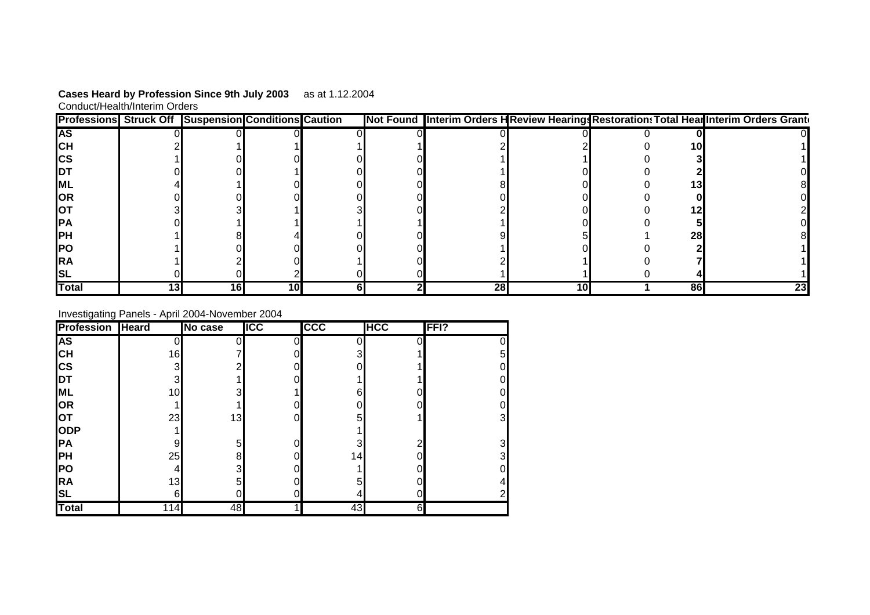| Cases Heard by Profession Since 9th July 2003 | as at 1.12.2004 |
|-----------------------------------------------|-----------------|
| Conduct/Health/Interim Orders                 |                 |

| <b>Professions Struck Off Suspension Conditions Caution</b> |                 |    |    |  |    |                 | Not Found Interim Orders HReview Hearings Restoration: Total HearInterim Orders Granto |
|-------------------------------------------------------------|-----------------|----|----|--|----|-----------------|----------------------------------------------------------------------------------------|
| IAS.                                                        |                 |    |    |  |    |                 |                                                                                        |
| IСH                                                         |                 |    |    |  |    |                 | 101                                                                                    |
| ICS                                                         |                 |    |    |  |    |                 |                                                                                        |
| IDT                                                         |                 |    |    |  |    |                 |                                                                                        |
| <b>ML</b>                                                   |                 |    |    |  |    |                 |                                                                                        |
| <b>OR</b>                                                   |                 |    |    |  |    |                 |                                                                                        |
| IOT                                                         |                 |    |    |  |    |                 |                                                                                        |
| <b>IPA</b>                                                  |                 |    |    |  |    |                 |                                                                                        |
| <b>IPH</b>                                                  |                 |    |    |  |    |                 | 28I                                                                                    |
| <b>PO</b>                                                   |                 |    |    |  |    |                 |                                                                                        |
| IRA                                                         |                 |    |    |  |    |                 |                                                                                        |
| ISL                                                         |                 |    |    |  |    |                 |                                                                                        |
| <b>Total</b>                                                | 13 <sup>l</sup> | 16 | 10 |  | 28 | 10 <sup>1</sup> | 86                                                                                     |

## Investigating Panels - April 2004-November 2004

| <b>Profession</b> | Heard | No case        | <b>IICC</b> | <b>CCC</b> | <b>HCC</b> | FFI? |
|-------------------|-------|----------------|-------------|------------|------------|------|
| <b>AS</b>         |       |                |             |            |            | 0    |
| Iсн               | 16    |                |             | 3          |            | 5    |
| <b>CS</b>         | 3     | ⌒              |             |            |            | 0    |
| <b>I</b> DT       | 3     |                |             |            |            | 0    |
| <b>ML</b>         | 10    | 3              |             | 6          |            | 0    |
| OR                |       |                |             |            |            | 0    |
| <b>OT</b>         | 23    | 13             |             | 5          |            | 3    |
| ODP               |       |                |             |            |            |      |
| <b>IPA</b>        | 9     | 5              |             | 3          | ◠          | 3    |
| <b>PH</b>         | 25    | 8 <sup>1</sup> |             | 14         |            | 3    |
| <b>PO</b>         | 4     | 3              |             |            |            | 0    |
| <b>RA</b>         | 13    | 5              |             | 5          |            | 4    |
| <b>SL</b>         | 6     | 0              |             | 4          |            |      |
| <b>Total</b>      | 114   | 48             |             | 43         | 6          |      |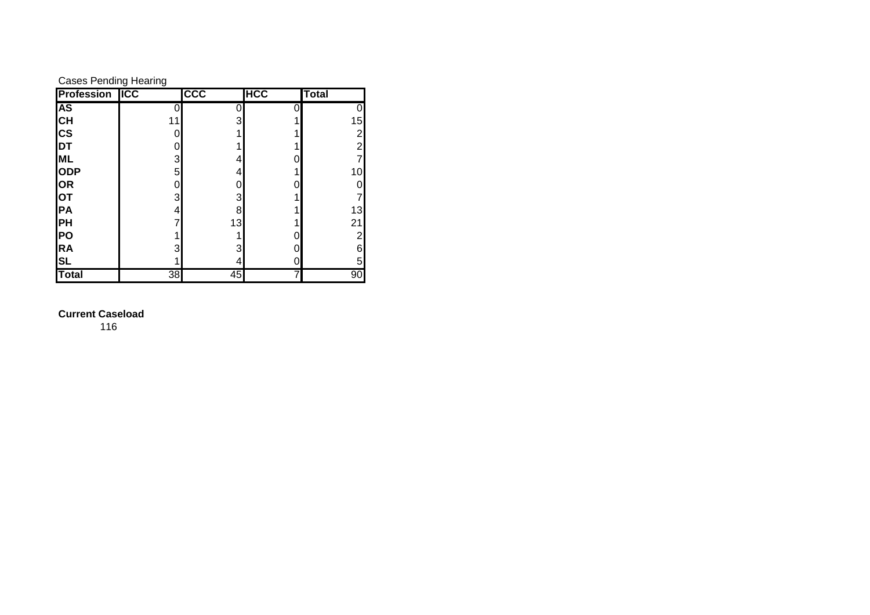| <b>Cases Pending Hearing</b> |  |
|------------------------------|--|
|                              |  |

| <b>Profession ICC</b>                 |    | <b>CCC</b> | <b>HCC</b> | <b>Total</b>    |
|---------------------------------------|----|------------|------------|-----------------|
| <b>AS</b>                             |    |            |            |                 |
|                                       | 11 | 3          |            | 15              |
|                                       |    |            |            | $\overline{c}$  |
| CH<br>CS<br>DT                        |    |            |            | $\overline{c}$  |
|                                       | 3  | 4          |            |                 |
| ML<br>ODP                             | 5  | 4          |            | 10 <sub>1</sub> |
|                                       |    |            |            |                 |
|                                       | 3  | 3          |            |                 |
|                                       | 4  | 8          |            | 13              |
|                                       |    | 13         |            | 21              |
|                                       |    |            |            | $\overline{2}$  |
| OR<br>OT<br>PH<br>PO<br>R<br>SL<br>SL | 3  | 3          |            | 6               |
|                                       |    | 4          |            | 5               |
| Total                                 | 38 | 45         |            | 90              |

## **Current Caseload**

116